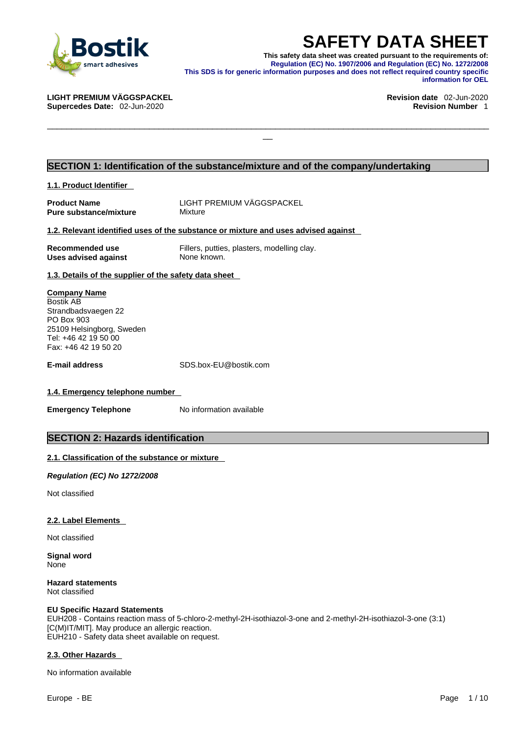

**SAFETY DATA SHEET**<br>This safety data sheet was created pursuant to the requirements of:<br>Regulation (EC) No. 1907/2006 and Regulation (EC) No. 1272/2008<br>information purposes and does not reflect required country specific<br>in **This safety data sheet was created pursuant to the requirements of: Regulation (EC) No. 1907/2006 and Regulation (EC) No. 1272/2008 This SDS is for generic information purposes and does not reflect required country specific information for OEL** 

\_\_\_\_\_\_\_\_\_\_\_\_\_\_\_\_\_\_\_\_\_\_\_\_\_\_\_\_\_\_\_\_\_\_\_\_\_\_\_\_\_\_\_\_\_\_\_\_\_\_\_\_\_\_\_\_\_\_\_\_\_\_\_\_\_\_\_\_\_\_\_\_\_\_\_\_\_\_\_\_\_\_\_\_\_\_\_\_\_\_\_

**Supercedes Date: 02-Jun-2020** 

**LIGHT PREMIUM VÄGGSPACKEL Revision date** 02-Jun-2020

### **SECTION 1: Identification of the substance/mixture and of the company/undertaking**

### **1.1. Product Identifier**

| <b>Product Name</b>           |  |
|-------------------------------|--|
| <b>Pure substance/mixture</b> |  |

**Product Name** LIGHT PREMIUM VÄGGSPACKEL **Mixture** 

### **1.2. Relevant identified uses of the substance or mixture and uses advised against**

| Recommended use      |  |
|----------------------|--|
| Uses advised against |  |

Fillers, putties, plasters, modelling clay. **None known.** 

**1.3. Details of the supplier of the safety data sheet**

### **Company Name** Bostik AB Strandbadsvaegen 22 PO Box 903 25109 Helsingborg, Sweden Tel: +46 42 19 50 00 Fax: +46 42 19 50 20

**E-mail address** SDS.box-EU@bostik.com

### **1.4. Emergency telephone number**

**Emergency Telephone** No information available

### **SECTION 2: Hazards identification**

### **2.1. Classification of the substance or mixture**

*Regulation (EC) No 1272/2008* 

Not classified

### **2.2. Label Elements**

Not classified

**Signal word** None

**Hazard statements** Not classified

### **EU Specific Hazard Statements**

EUH208 - Contains reaction mass of 5-chloro-2-methyl-2H-isothiazol-3-one and 2-methyl-2H-isothiazol-3-one (3:1) [C(M)IT/MIT]. May produce an allergic reaction. EUH210 - Safety data sheet available on request.

### **2.3. Other Hazards**

No information available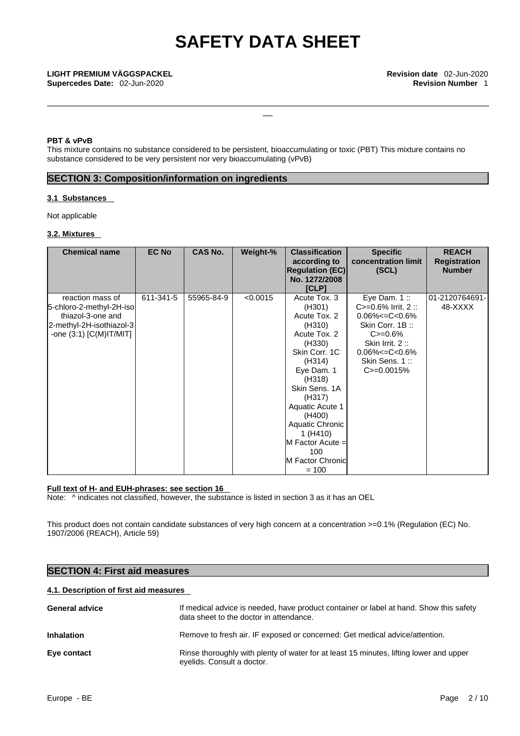\_\_\_\_\_\_\_\_\_\_\_\_\_\_\_\_\_\_\_\_\_\_\_\_\_\_\_\_\_\_\_\_\_\_\_\_\_\_\_\_\_\_\_\_\_\_\_\_\_\_\_\_\_\_\_\_\_\_\_\_\_\_\_\_\_\_\_\_\_\_\_\_\_\_\_\_\_\_\_\_\_\_\_\_\_\_\_\_\_\_\_ \_\_

**Supercedes Date: 02-Jun-2020** 

### **PBT & vPvB**

This mixture contains no substance considered to be persistent, bioaccumulating or toxic (PBT) This mixture contains no substance considered to be very persistent nor very bioaccumulating (vPvB)

### **SECTION 3: Composition/information on ingredients**

### **3.1 Substances**

Not applicable

### **3.2. Mixtures**

| <b>Chemical name</b>                                                                                                       | <b>EC No</b> | <b>CAS No.</b> | Weight-% | <b>Classification</b><br>according to<br><b>Regulation (EC)</b><br>No. 1272/2008<br><b>[CLP]</b>                                                                                                                                                                                | <b>Specific</b><br>concentration limit<br>(SCL)                                                                                                                                   | <b>REACH</b><br><b>Registration</b><br><b>Number</b> |  |
|----------------------------------------------------------------------------------------------------------------------------|--------------|----------------|----------|---------------------------------------------------------------------------------------------------------------------------------------------------------------------------------------------------------------------------------------------------------------------------------|-----------------------------------------------------------------------------------------------------------------------------------------------------------------------------------|------------------------------------------------------|--|
| reaction mass of<br>5-chloro-2-methyl-2H-iso<br>thiazol-3-one and<br>2-methyl-2H-isothiazol-3<br>-one $(3:1)$ [C(M)IT/MIT] | 611-341-5    | 55965-84-9     | < 0.0015 | Acute Tox. 3<br>(H301)<br>Acute Tox. 2<br>(H310)<br>Acute Tox. 2<br>(H330)<br>Skin Corr. 1C<br>(H314)<br>Eye Dam. 1<br>(H318)<br>Skin Sens. 1A<br>(H317)<br>Aquatic Acute 1<br>(H400)<br>Aquatic Chronic<br>1(H410)<br>$M$ Factor Acute =<br>100<br>M Factor Chronic<br>$= 100$ | Eye Dam. $1::$<br>$C = 0.6\%$ Irrit. 2 ::<br>$0.06\% < = C < 0.6\%$<br>Skin Corr. 1B:<br>$C = 0.6%$<br>Skin Irrit. 2:<br>$0.06\% < = C < 0.6\%$<br>Skin Sens. 1:<br>$C = 0.0015%$ | 01-2120764691-<br>48-XXXX                            |  |

### **Full text of H- and EUH-phrases: see section 16**

Note:  $\wedge$  indicates not classified, however, the substance is listed in section 3 as it has an OEL

This product does not contain candidate substances of very high concern at a concentration >=0.1% (Regulation (EC) No. 1907/2006 (REACH), Article 59)

| <b>SECTION 4: First aid measures</b>   |                                                                                                                                   |  |  |  |
|----------------------------------------|-----------------------------------------------------------------------------------------------------------------------------------|--|--|--|
| 4.1. Description of first aid measures |                                                                                                                                   |  |  |  |
| <b>General advice</b>                  | If medical advice is needed, have product container or label at hand. Show this safety<br>data sheet to the doctor in attendance. |  |  |  |
| <b>Inhalation</b>                      | Remove to fresh air. IF exposed or concerned: Get medical advice/attention.                                                       |  |  |  |
| Eye contact                            | Rinse thoroughly with plenty of water for at least 15 minutes, lifting lower and upper<br>eyelids. Consult a doctor.              |  |  |  |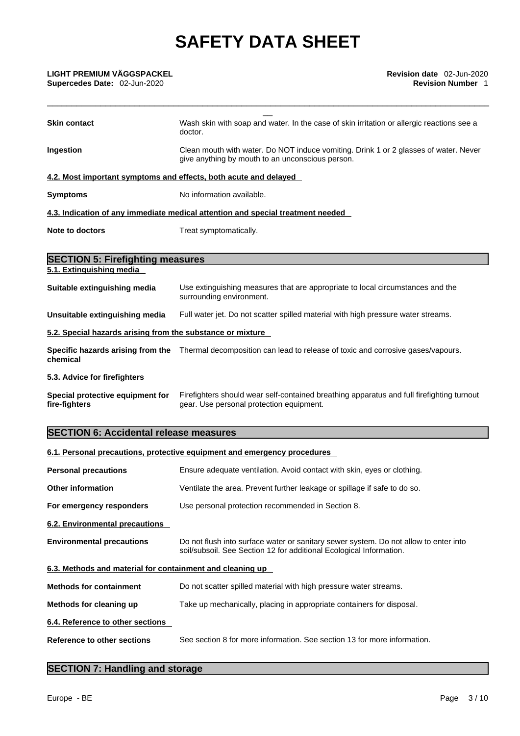| <b>Skin contact</b>                                                                                                                                   | Wash skin with soap and water. In the case of skin irritation or allergic reactions see a<br>doctor.                                                        |  |  |  |  |
|-------------------------------------------------------------------------------------------------------------------------------------------------------|-------------------------------------------------------------------------------------------------------------------------------------------------------------|--|--|--|--|
| Clean mouth with water. Do NOT induce vomiting. Drink 1 or 2 glasses of water. Never<br>Ingestion<br>give anything by mouth to an unconscious person. |                                                                                                                                                             |  |  |  |  |
|                                                                                                                                                       | 4.2. Most important symptoms and effects, both acute and delayed                                                                                            |  |  |  |  |
| <b>Symptoms</b>                                                                                                                                       | No information available.                                                                                                                                   |  |  |  |  |
|                                                                                                                                                       | 4.3. Indication of any immediate medical attention and special treatment needed                                                                             |  |  |  |  |
| <b>Note to doctors</b>                                                                                                                                | Treat symptomatically.                                                                                                                                      |  |  |  |  |
| <b>SECTION 5: Firefighting measures</b>                                                                                                               |                                                                                                                                                             |  |  |  |  |
| 5.1. Extinguishing media                                                                                                                              |                                                                                                                                                             |  |  |  |  |
| Suitable extinguishing media                                                                                                                          | Use extinguishing measures that are appropriate to local circumstances and the<br>surrounding environment.                                                  |  |  |  |  |
| Unsuitable extinguishing media                                                                                                                        | Full water jet. Do not scatter spilled material with high pressure water streams.                                                                           |  |  |  |  |
| 5.2. Special hazards arising from the substance or mixture                                                                                            |                                                                                                                                                             |  |  |  |  |
| chemical                                                                                                                                              | Specific hazards arising from the Thermal decomposition can lead to release of toxic and corrosive gases/vapours.                                           |  |  |  |  |
| 5.3. Advice for firefighters                                                                                                                          |                                                                                                                                                             |  |  |  |  |
| Special protective equipment for<br>fire-fighters                                                                                                     | Firefighters should wear self-contained breathing apparatus and full firefighting turnout<br>gear. Use personal protection equipment.                       |  |  |  |  |
| <b>SECTION 6: Accidental release measures</b>                                                                                                         |                                                                                                                                                             |  |  |  |  |
|                                                                                                                                                       | 6.1. Personal precautions, protective equipment and emergency procedures                                                                                    |  |  |  |  |
| <b>Personal precautions</b>                                                                                                                           | Ensure adequate ventilation. Avoid contact with skin, eyes or clothing.                                                                                     |  |  |  |  |
| Other information                                                                                                                                     | Ventilate the area. Prevent further leakage or spillage if safe to do so.                                                                                   |  |  |  |  |
| For emergency responders                                                                                                                              | Use personal protection recommended in Section 8.                                                                                                           |  |  |  |  |
| 6.2. Environmental precautions                                                                                                                        |                                                                                                                                                             |  |  |  |  |
| <b>Environmental precautions</b>                                                                                                                      | Do not flush into surface water or sanitary sewer system. Do not allow to enter into<br>soil/subsoil. See Section 12 for additional Ecological Information. |  |  |  |  |
| 6.3. Methods and material for containment and cleaning up                                                                                             |                                                                                                                                                             |  |  |  |  |
| <b>Methods for containment</b>                                                                                                                        | Do not scatter spilled material with high pressure water streams.                                                                                           |  |  |  |  |
| Methods for cleaning up                                                                                                                               | Take up mechanically, placing in appropriate containers for disposal.                                                                                       |  |  |  |  |
| 6.4. Reference to other sections                                                                                                                      |                                                                                                                                                             |  |  |  |  |
| <b>Reference to other sections</b>                                                                                                                    | See section 8 for more information. See section 13 for more information.                                                                                    |  |  |  |  |

## **SECTION 7: Handling and storage**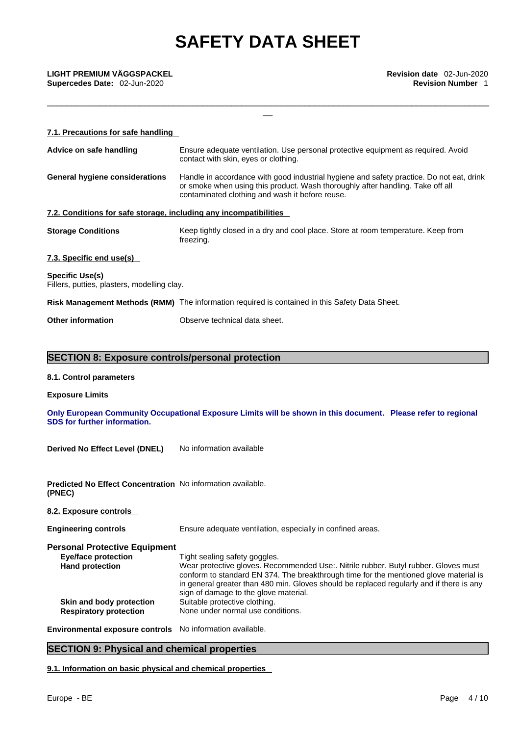\_\_\_\_\_\_\_\_\_\_\_\_\_\_\_\_\_\_\_\_\_\_\_\_\_\_\_\_\_\_\_\_\_\_\_\_\_\_\_\_\_\_\_\_\_\_\_\_\_\_\_\_\_\_\_\_\_\_\_\_\_\_\_\_\_\_\_\_\_\_\_\_\_\_\_\_\_\_\_\_\_\_\_\_\_\_\_\_\_\_\_ \_\_

**Supercedes Date: 02-Jun-2020** 

| 7.1. Precautions for safe handling                                |                                                                                                                                                                                                                               |
|-------------------------------------------------------------------|-------------------------------------------------------------------------------------------------------------------------------------------------------------------------------------------------------------------------------|
| Advice on safe handling                                           | Ensure adequate ventilation. Use personal protective equipment as required. Avoid<br>contact with skin, eyes or clothing.                                                                                                     |
| General hygiene considerations                                    | Handle in accordance with good industrial hygiene and safety practice. Do not eat, drink<br>or smoke when using this product. Wash thoroughly after handling. Take off all<br>contaminated clothing and wash it before reuse. |
| 7.2. Conditions for safe storage, including any incompatibilities |                                                                                                                                                                                                                               |
| <b>Storage Conditions</b>                                         | Keep tightly closed in a dry and cool place. Store at room temperature. Keep from<br>freezing.                                                                                                                                |
| 7.3. Specific end use(s)                                          |                                                                                                                                                                                                                               |
| Specific Use(s)<br>Fillers, putties, plasters, modelling clay.    |                                                                                                                                                                                                                               |
|                                                                   | Risk Management Methods (RMM) The information required is contained in this Safety Data Sheet.                                                                                                                                |
| <b>Other information</b>                                          | Observe technical data sheet.                                                                                                                                                                                                 |
|                                                                   |                                                                                                                                                                                                                               |

## **SECTION 8: Exposure controls/personal protection**

### **8.1. Control parameters**

### **Exposure Limits**

**Only European Community Occupational Exposure Limits will be shown in this document. Please refer to regional SDS for further information.** 

**Derived No Effect Level (DNEL)** No information available

**Predicted No Effect Concentration** No information available. **(PNEC)** 

### **8.2. Exposure controls**

**Engineering controls** Ensure adequate ventilation, especially in confined areas.

**Personal Protective Equipment Eye/face protection** Tight sealing safety goggles. Hand protection **Wear protective gloves. Recommended Use:. Nitrile rubber. Butyl rubber. Gloves must** conform to standard EN 374. The breakthrough time for the mentioned glove material is in general greater than 480 min. Gloves should be replaced regularly and if there is any sign of damage to the glove material.<br>Suitable protective clothing. **Skin and body protection**<br>**Respiratory protection None under normal use conditions.** 

**Environmental exposure controls** No information available.

## **SECTION 9: Physical and chemical properties**

**9.1. Information on basic physical and chemical properties**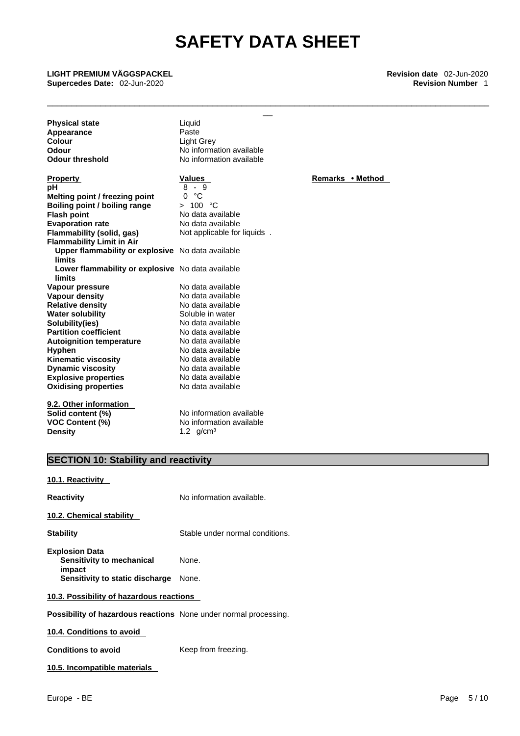\_\_\_\_\_\_\_\_\_\_\_\_\_\_\_\_\_\_\_\_\_\_\_\_\_\_\_\_\_\_\_\_\_\_\_\_\_\_\_\_\_\_\_\_\_\_\_\_\_\_\_\_\_\_\_\_\_\_\_\_\_\_\_\_\_\_\_\_\_\_\_\_\_\_\_\_\_\_\_\_\_\_\_\_\_\_\_\_\_\_\_ \_\_

**Supercedes Date: 02-Jun-2020** 

**LIGHT PREMIUM VÄGGSPACKEL Revision date** 02-Jun-2020

**Physical state** Liquid **Appearance** Paste<br> **Colour** Light ( **Colour** Light Grey<br> **Colour** Mo information Colour **Odour 1988** Mo information available<br> **Odour threshold** Mo information available

**Explosive properties**<br> **Oxidising properties**<br> **Oxidising properties**<br>
No data available **Oxidising properties 9.2. Other information Property CONSCRUTE ACCORDING METHOD Values Remarks •** Method **pH**<br>Melting point / freezing point 0 °C **Melting point / freezing point** 0 °C<br> **Boiling point / boiling range** > 100 °C **Boiling point / boiling range<br>Flash point Flash point** No data available **Evaporation** rate **Flammability (solid, gas)** Not applicable for liquids . **Flammability Limit in Air Upper flammability or explosive** No data available **limits Lower flammability or explosive** No data available **limits Vapour pressure No data available**<br> **Vapour density No data available Vapour density**<br> **Relative density**<br> **No data available**<br>
No data available **Relative density No data available**<br> **Water solubility Notationally** Soluble in water **Water solubility Solubility(ies)**<br> **Partition coefficient**<br>
No data available<br>
No data available **Partition coefficient**<br> **Autoignition temperature**<br>
No data available **Autoignition temperature**<br>Hyphen No data available<br>No data available **Kinematic viscosity**<br> **Communical Dynamic viscosity**<br> **No data available Dynamic viscosity** 

**Solid content (%)**<br> **No information available**<br> **VOC Content (%)**<br>
No information available **Density** 1.2 g/cm<sup>3</sup>

**VOC Content (%)** No information available

**No information available** 

## **SECTION 10: Stability and reactivity**

### **10.1. Reactivity**

| <b>Reactivity</b>                                                       | No information available.       |
|-------------------------------------------------------------------------|---------------------------------|
| 10.2. Chemical stability                                                |                                 |
| <b>Stability</b>                                                        | Stable under normal conditions. |
| <b>Explosion Data</b><br>Sensitivity to mechanical<br>impact            | None.                           |
| Sensitivity to static discharge                                         | None.                           |
| 10.3. Possibility of hazardous reactions                                |                                 |
| <b>Possibility of hazardous reactions</b> None under normal processing. |                                 |
| 10 A Conditions to avoid                                                |                                 |

**10.4. Conditions to avoid** 

**Conditions to avoid** Keep from freezing.

**10.5. Incompatible materials**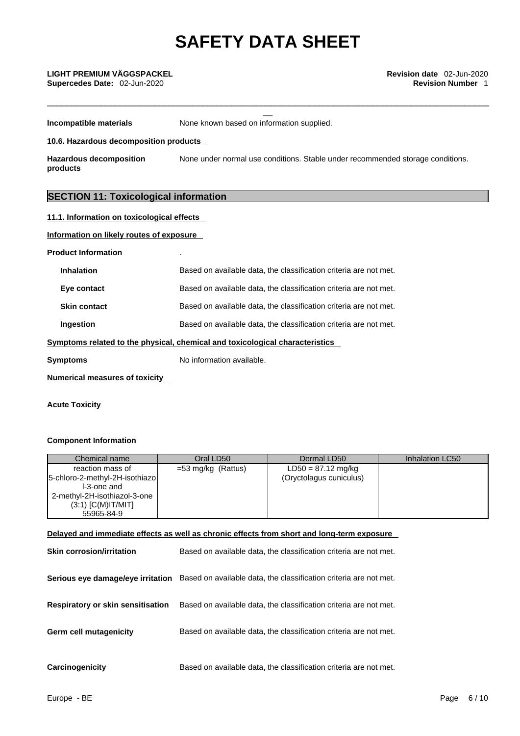\_\_\_\_\_\_\_\_\_\_\_\_\_\_\_\_\_\_\_\_\_\_\_\_\_\_\_\_\_\_\_\_\_\_\_\_\_\_\_\_\_\_\_\_\_\_\_\_\_\_\_\_\_\_\_\_\_\_\_\_\_\_\_\_\_\_\_\_\_\_\_\_\_\_\_\_\_\_\_\_\_\_\_\_\_\_\_\_\_\_\_ \_\_

**Supercedes Date: 02-Jun-2020** 

**Incompatible materials** None known based on information supplied.

**10.6. Hazardous decomposition products** 

**Hazardous decomposition products**  None under normal use conditions. Stable under recommended storage conditions.

## **SECTION 11: Toxicological information**

| 11.1. Information on toxicological effects |                                                                              |
|--------------------------------------------|------------------------------------------------------------------------------|
| Information on likely routes of exposure   |                                                                              |
| <b>Product Information</b>                 |                                                                              |
| <b>Inhalation</b>                          | Based on available data, the classification criteria are not met.            |
| Eye contact                                | Based on available data, the classification criteria are not met.            |
| <b>Skin contact</b>                        | Based on available data, the classification criteria are not met.            |
| Ingestion                                  | Based on available data, the classification criteria are not met.            |
|                                            | Symptoms related to the physical, chemical and toxicological characteristics |
| <b>Symptoms</b>                            | No information available.                                                    |
|                                            |                                                                              |

**Numerical measures of toxicity**

### **Acute Toxicity**

### **Component Information**

| Chemical name                                                                                                                           | Oral LD50          | Dermal LD50                                     | Inhalation LC50 |
|-----------------------------------------------------------------------------------------------------------------------------------------|--------------------|-------------------------------------------------|-----------------|
| reaction mass of<br>5-chloro-2-methyl-2H-isothiazo<br>I-3-one and<br>2-methyl-2H-isothiazol-3-one<br>$(3:1)$ [C(M)IT/MIT]<br>55965-84-9 | =53 mg/kg (Rattus) | $LD50 = 87.12$ mg/kg<br>(Oryctolagus cuniculus) |                 |

### **Delayed and immediate effects as well as chronic effects from short and long-term exposure**

| <b>Skin corrosion/irritation</b>         | Based on available data, the classification criteria are not met.                                   |
|------------------------------------------|-----------------------------------------------------------------------------------------------------|
|                                          | Serious eye damage/eye irritation Based on available data, the classification criteria are not met. |
| <b>Respiratory or skin sensitisation</b> | Based on available data, the classification criteria are not met.                                   |
| <b>Germ cell mutagenicity</b>            | Based on available data, the classification criteria are not met.                                   |
| Carcinogenicity                          | Based on available data, the classification criteria are not met.                                   |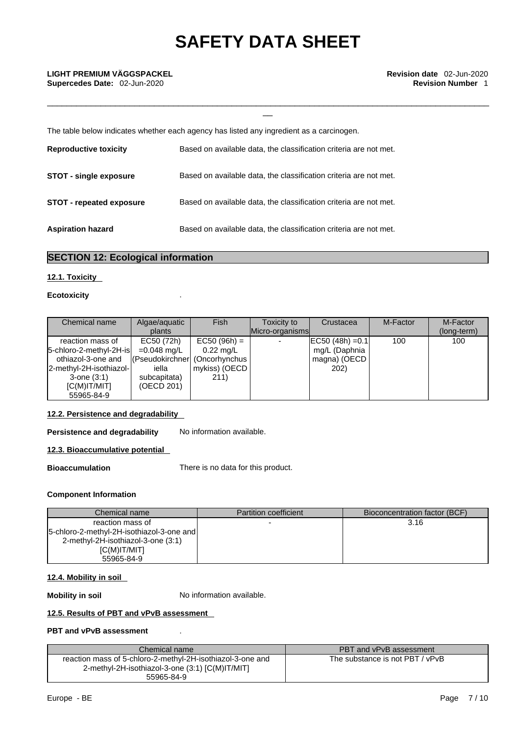\_\_\_\_\_\_\_\_\_\_\_\_\_\_\_\_\_\_\_\_\_\_\_\_\_\_\_\_\_\_\_\_\_\_\_\_\_\_\_\_\_\_\_\_\_\_\_\_\_\_\_\_\_\_\_\_\_\_\_\_\_\_\_\_\_\_\_\_\_\_\_\_\_\_\_\_\_\_\_\_\_\_\_\_\_\_\_\_\_\_\_ \_\_

**Supercedes Date: 02-Jun-2020** 

The table below indicates whether each agency has listed any ingredient as a carcinogen.

| <b>Reproductive toxicity</b>    | Based on available data, the classification criteria are not met. |
|---------------------------------|-------------------------------------------------------------------|
| <b>STOT - single exposure</b>   | Based on available data, the classification criteria are not met. |
| <b>STOT - repeated exposure</b> | Based on available data, the classification criteria are not met. |
| <b>Aspiration hazard</b>        | Based on available data, the classification criteria are not met. |

## **SECTION 12: Ecological information**

### **12.1. Toxicity**

### **Ecotoxicity** .

| Chemical name           | Algae/aquatic<br>plants        | Fish                | Toxicity to<br>Micro-organisms | Crustacea            | M-Factor | M-Factor<br>(long-term) |
|-------------------------|--------------------------------|---------------------|--------------------------------|----------------------|----------|-------------------------|
|                         |                                |                     |                                |                      |          |                         |
| reaction mass of        | EC50 (72h)                     | $EC50 (96h) =$      |                                | $ EC50 (48h) = 0.1 $ | 100      | 100                     |
| 5-chloro-2-methyl-2H-is | =0.048 mg/L                    | $0.22 \text{ mq/L}$ |                                | mg/L (Daphnia        |          |                         |
| othiazol-3-one and      | (Pseudokirchner  (Oncorhynchus |                     |                                | magna) (OECD         |          |                         |
| 2-methyl-2H-isothiazol- | iella                          | mykiss) (OECD       |                                | <b>202</b> )         |          |                         |
| $3$ -one $(3:1)$        | subcapitata)                   | 211)                |                                |                      |          |                         |
| IC(M)IT/MIT             | (OECD 201)                     |                     |                                |                      |          |                         |
| 55965-84-9              |                                |                     |                                |                      |          |                         |

### **12.2. Persistence and degradability**

**Persistence and degradability** No information available.

### **12.3. Bioaccumulative potential**

**Bioaccumulation** There is no data for this product.

### **Component Information**

| Chemical name                               | <b>Partition coefficient</b> | Bioconcentration factor (BCF) |
|---------------------------------------------|------------------------------|-------------------------------|
| reaction mass of                            |                              | 3.16                          |
| [5-chloro-2-methyl-2H-isothiazol-3-one and] |                              |                               |
| 2-methyl-2H-isothiazol-3-one (3:1)          |                              |                               |
| IC(M)IT/MIT                                 |                              |                               |
| 55965-84-9                                  |                              |                               |

### **12.4. Mobility in soil**

**Mobility in soil** No information available.

### **12.5. Results of PBT and vPvB assessment**

### **PBT and vPvB assessment** .

| Chemical name                                                                                                               | PBT and vPvB assessment         |
|-----------------------------------------------------------------------------------------------------------------------------|---------------------------------|
| reaction mass of 5-chloro-2-methyl-2H-isothiazol-3-one and<br>2-methyl-2H-isothiazol-3-one (3:1) [C(M)IT/MIT]<br>55965-84-9 | The substance is not PBT / vPvB |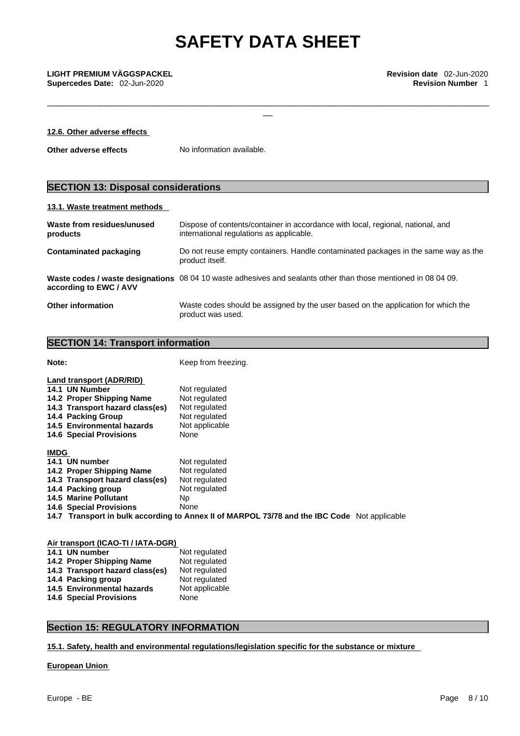\_\_\_\_\_\_\_\_\_\_\_\_\_\_\_\_\_\_\_\_\_\_\_\_\_\_\_\_\_\_\_\_\_\_\_\_\_\_\_\_\_\_\_\_\_\_\_\_\_\_\_\_\_\_\_\_\_\_\_\_\_\_\_\_\_\_\_\_\_\_\_\_\_\_\_\_\_\_\_\_\_\_\_\_\_\_\_\_\_\_\_ \_\_

**Supercedes Date: 02-Jun-2020** 

## **12.6. Other adverse effects**

**Other adverse effects** No information available.

## **SECTION 13: Disposal considerations**

### **13.1. Waste treatment methods**

| Waste from residues/unused<br>products | Dispose of contents/container in accordance with local, regional, national, and<br>international regulations as applicable. |
|----------------------------------------|-----------------------------------------------------------------------------------------------------------------------------|
| Contaminated packaging                 | Do not reuse empty containers. Handle contaminated packages in the same way as the<br>product itself.                       |
| according to EWC / AVV                 | Waste codes / waste designations 08 04 10 waste adhesives and sealants other than those mentioned in 08 04 09.              |
| <b>Other information</b>               | Waste codes should be assigned by the user based on the application for which the<br>product was used.                      |

## **SECTION 14: Transport information**

| ۰.<br>I<br>×<br>×<br>٩<br>٩ |  |
|-----------------------------|--|

**Note:** Keep from freezing.

|             | 14.1 UN Number                  | Not regulated                                                                                |
|-------------|---------------------------------|----------------------------------------------------------------------------------------------|
|             | 14.2 Proper Shipping Name       | Not regulated                                                                                |
|             | 14.3 Transport hazard class(es) | Not regulated                                                                                |
|             | 14.4 Packing Group              | Not regulated                                                                                |
|             | 14.5 Environmental hazards      | Not applicable                                                                               |
|             | <b>14.6 Special Provisions</b>  | None                                                                                         |
| <b>IMDG</b> |                                 |                                                                                              |
|             | 14.1 UN number                  | Not regulated                                                                                |
|             | 14.2 Proper Shipping Name       | Not regulated                                                                                |
|             | 14.3 Transport hazard class(es) | Not regulated                                                                                |
|             | 14.4 Packing group              | Not regulated                                                                                |
|             | <b>14.5 Marine Pollutant</b>    | Np.                                                                                          |
|             | <b>14.6 Special Provisions</b>  | None                                                                                         |
|             |                                 | 14.7 Transport in bulk according to Annex II of MARPOL 73/78 and the IBC Code Not applicable |

| Air transport (ICAO-TI / IATA-DGR) |                |
|------------------------------------|----------------|
| 14.1 UN number                     | Not regulated  |
| 14.2 Proper Shipping Name          | Not regulated  |
| 14.3 Transport hazard class(es)    | Not regulated  |
| 14.4 Packing group                 | Not regulated  |
| 14.5 Environmental hazards         | Not applicable |
| <b>14.6 Special Provisions</b>     | None           |
|                                    |                |

## **Section 15: REGULATORY INFORMATION**

**15.1. Safety, health and environmental regulations/legislation specific for the substance or mixture**

### **European Union**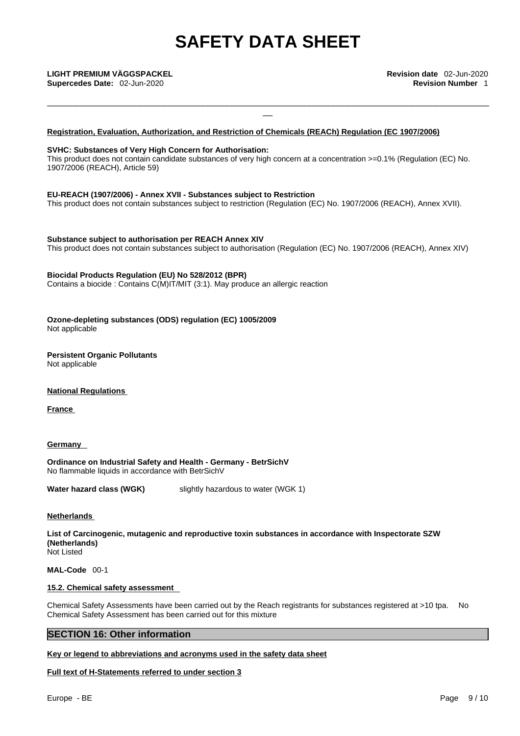\_\_\_\_\_\_\_\_\_\_\_\_\_\_\_\_\_\_\_\_\_\_\_\_\_\_\_\_\_\_\_\_\_\_\_\_\_\_\_\_\_\_\_\_\_\_\_\_\_\_\_\_\_\_\_\_\_\_\_\_\_\_\_\_\_\_\_\_\_\_\_\_\_\_\_\_\_\_\_\_\_\_\_\_\_\_\_\_\_\_\_ \_\_

### **LIGHT PREMIUM VÄGGSPACKEL Revision date** 02-Jun-2020

### **Registration, Evaluation, Authorization, and Restriction of Chemicals (REACh) Regulation (EC 1907/2006)**

### **SVHC: Substances of Very High Concern for Authorisation:**

This product does not contain candidate substances of very high concern at a concentration >=0.1% (Regulation (EC) No. 1907/2006 (REACH), Article 59)

### **EU-REACH (1907/2006) - Annex XVII - Substances subject to Restriction**

This product does not contain substances subject to restriction (Regulation (EC) No. 1907/2006 (REACH), Annex XVII).

**Substance subject to authorisation per REACH Annex XIV** This product does not contain substances subject to authorisation (Regulation (EC) No. 1907/2006 (REACH), Annex XIV)

### **Biocidal Products Regulation (EU) No 528/2012 (BPR)**

Contains a biocide : Contains C(M)IT/MIT (3:1). May produce an allergic reaction

**Ozone-depleting substances (ODS) regulation (EC) 1005/2009** Not applicable

### **Persistent Organic Pollutants** Not applicable

**National Regulations**

**France** 

**Germany** 

**Ordinance on Industrial Safety and Health - Germany - BetrSichV** No flammable liquids in accordance with BetrSichV

**Water hazard class (WGK)** slightly hazardous to water (WGK 1)

**Netherlands** 

**List of Carcinogenic, mutagenic and reproductive toxin substances in accordance with Inspectorate SZW (Netherlands)** Not Listed

**MAL-Code** 00-1

### **15.2. Chemical safety assessment**

Chemical Safety Assessments have been carried out by the Reach registrants for substances registered at >10 tpa. No Chemical Safety Assessment has been carried out for this mixture

### **SECTION 16: Other information**

**Key or legend to abbreviations and acronyms used in the safety data sheet**

**Full text of H-Statements referred to under section 3**